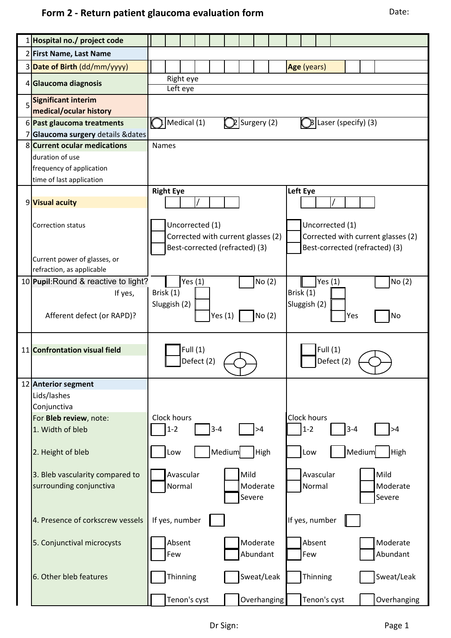|   | 1 Hospital no./ project code         |                                                                                              |
|---|--------------------------------------|----------------------------------------------------------------------------------------------|
|   | 2 First Name, Last Name              |                                                                                              |
|   | 3 Date of Birth (dd/mm/yyyy)         | Age (years)                                                                                  |
|   |                                      | Right eye                                                                                    |
|   | 4 Glaucoma diagnosis                 | Left eye                                                                                     |
| 5 | <b>Significant interim</b>           |                                                                                              |
|   | medical/ocular history               |                                                                                              |
|   | 6 Past glaucoma treatments           | Medical (1)<br>$\mathbb{Q}$ Surgery (2)<br>$\left  \text{Base}(\text{specific}) \right $ (3) |
|   | 7 Glaucoma surgery details & dates   |                                                                                              |
|   | 8 Current ocular medications         | <b>Names</b>                                                                                 |
|   | duration of use                      |                                                                                              |
|   | frequency of application             |                                                                                              |
|   | time of last application             | Left Eye<br><b>Right Eye</b>                                                                 |
|   | 9 Visual acuity                      |                                                                                              |
|   |                                      |                                                                                              |
|   | Correction status                    | Uncorrected (1)<br>Uncorrected (1)                                                           |
|   |                                      | Corrected with current glasses (2)<br>Corrected with current glasses (2)                     |
|   |                                      | Best-corrected (refracted) (3)<br>Best-corrected (refracted) (3)                             |
|   | Current power of glasses, or         |                                                                                              |
|   | refraction, as applicable            |                                                                                              |
|   | 10 Pupil: Round & reactive to light? | No (2)<br>Yes $(1)$<br>No(2)<br>Yes $(1)$                                                    |
|   | If yes,                              | Brisk (1)<br>Brisk (1)                                                                       |
|   |                                      | Sluggish (2)<br>Sluggish (2)                                                                 |
|   | Afferent defect (or RAPD)?           | No (2)<br>No<br>Yes $(1)$<br>Yes                                                             |
|   |                                      |                                                                                              |
|   |                                      |                                                                                              |
|   | 11 Confrontation visual field        | Full $(1)$<br>Full (1)                                                                       |
|   |                                      | Defect (2)<br>Defect (2)                                                                     |
|   | 12 Anterior segment                  |                                                                                              |
|   | Lids/lashes                          |                                                                                              |
|   | Conjunctiva                          |                                                                                              |
|   | For Bleb review, note:               | Clock hours<br><b>Clock hours</b>                                                            |
|   | 1. Width of bleb                     | $1 - 2$<br>$1 - 2$<br>$3 - 4$<br>$3 - 4$<br>>4<br>>4                                         |
|   |                                      |                                                                                              |
|   | 2. Height of bleb                    | Medium<br>Medium<br>High<br>Low<br>High<br>Low                                               |
|   |                                      |                                                                                              |
|   | 3. Bleb vascularity compared to      | Avascular<br>Mild<br>Mild<br>Avascular                                                       |
|   | surrounding conjunctiva              | Normal<br>Moderate<br>Normal<br>Moderate                                                     |
|   |                                      | Severe<br>Severe                                                                             |
|   |                                      |                                                                                              |
|   | 4. Presence of corkscrew vessels     | If yes, number<br>If yes, number                                                             |
|   | 5. Conjunctival microcysts           | Absent<br>Moderate<br>Absent<br>Moderate                                                     |
|   |                                      | Abundant<br>Abundant<br>Few<br>Few                                                           |
|   |                                      |                                                                                              |
|   | 6. Other bleb features               | Thinning<br>Sweat/Leak<br>Sweat/Leak<br>Thinning                                             |
|   |                                      |                                                                                              |
|   |                                      | Tenon's cyst<br>Overhanging<br>Tenon's cyst<br>Overhanging                                   |